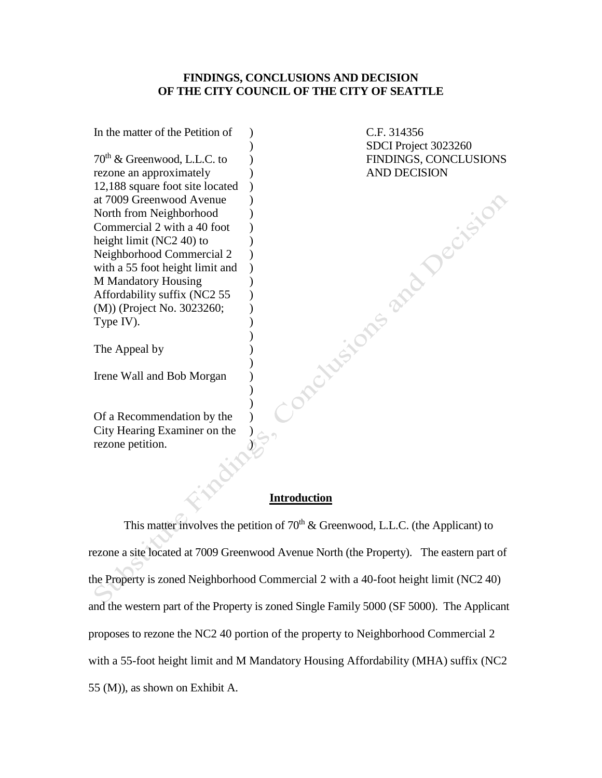#### **FINDINGS, CONCLUSIONS AND DECISION OF THE CITY COUNCIL OF THE CITY OF SEATTLE**

In the matter of the Petition of  $70<sup>th</sup>$  & Greenwood, L.L.C. to rezone an approximately 12,188 square foot site located at 7009 Greenwood Avenue North from Neighborhood Commercial 2 with a 40 foot height limit (NC2 40) to Neighborhood Commercial 2 with a 55 foot height limit and M Mandatory Housing Affordability suffix (NC2 55 (M)) (Project No. 3023260; Type IV). ) )  $\lambda$ )  $\lambda$  $\lambda$  $\lambda$ ) ) )  $\lambda$ )  $\lambda$ ) ) )

C.F. 314356 SDCI Project 3023260 FINDINGS, CONCLUSIONS AND DECISION<br>AND DECISION

The Appeal by

Irene Wall and Bob Morgan

Of a Recommendation by the City Hearing Examiner on the rezone petition.

#### **Introduction**

) ) ) ) ) ) ) )

This matter involves the petition of  $70<sup>th</sup>$  & Greenwood, L.L.C. (the Applicant) to rezone a site located at 7009 Greenwood Avenue North (the Property). The eastern part of the Property is zoned Neighborhood Commercial 2 with a 40-foot height limit (NC2 40) and the western part of the Property is zoned Single Family 5000 (SF 5000). The Applicant proposes to rezone the NC2 40 portion of the property to Neighborhood Commercial 2 with a 55-foot height limit and M Mandatory Housing Affordability (MHA) suffix (NC2 55 (M)), as shown on Exhibit A.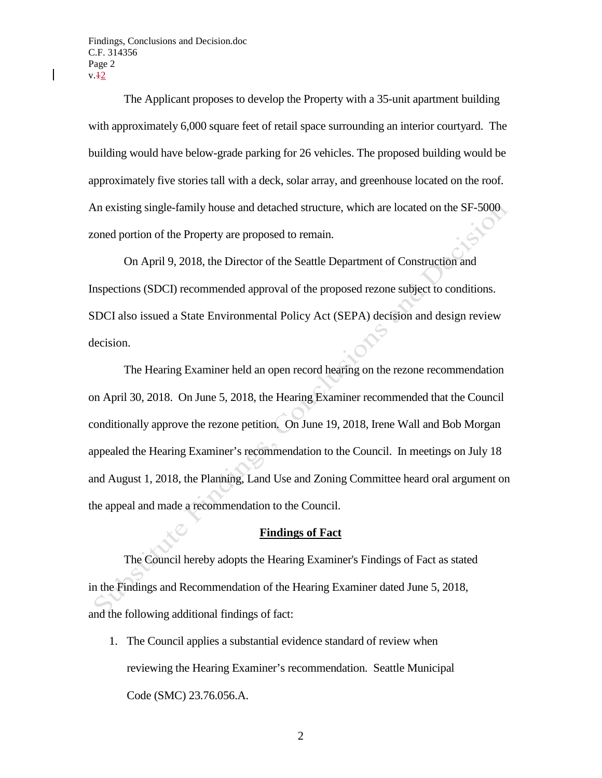Findings, Conclusions and Decision.doc C.F. 314356 Page 2  $v.42$ 

 $\overline{\phantom{a}}$ 

The Applicant proposes to develop the Property with a 35-unit apartment building with approximately 6,000 square feet of retail space surrounding an interior courtyard. The building would have below-grade parking for 26 vehicles. The proposed building would be approximately five stories tall with a deck, solar array, and greenhouse located on the roof. An existing single-family house and detached structure, which are located on the SF-5000 zoned portion of the Property are proposed to remain.

On April 9, 2018, the Director of the Seattle Department of Construction and Inspections (SDCI) recommended approval of the proposed rezone subject to conditions. SDCI also issued a State Environmental Policy Act (SEPA) decision and design review decision.

The Hearing Examiner held an open record hearing on the rezone recommendation on April 30, 2018. On June 5, 2018, the Hearing Examiner recommended that the Council conditionally approve the rezone petition. On June 19, 2018, Irene Wall and Bob Morgan appealed the Hearing Examiner's recommendation to the Council. In meetings on July 18 and August 1, 2018, the Planning, Land Use and Zoning Committee heard oral argument on the appeal and made a recommendation to the Council.

#### **Findings of Fact**

The Council hereby adopts the Hearing Examiner's Findings of Fact as stated in the Findings and Recommendation of the Hearing Examiner dated June 5, 2018, and the following additional findings of fact:

1. The Council applies a substantial evidence standard of review when reviewing the Hearing Examiner's recommendation. Seattle Municipal Code (SMC) 23.76.056.A.

2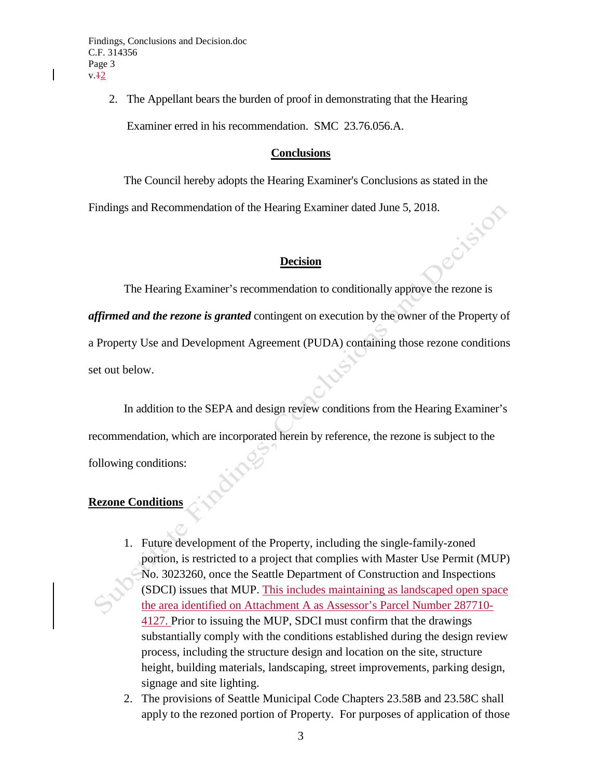$\overline{\phantom{a}}$ 

2. The Appellant bears the burden of proof in demonstrating that the Hearing Examiner erred in his recommendation. SMC 23.76.056.A.

### **Conclusions**

The Council hereby adopts the Hearing Examiner's Conclusions as stated in the

Findings and Recommendation of the Hearing Examiner dated June 5, 2018.

### **Decision**

The Hearing Examiner's recommendation to conditionally approve the rezone is *affirmed and the rezone is granted* contingent on execution by the owner of the Property of a Property Use and Development Agreement (PUDA) containing those rezone conditions set out below.

In addition to the SEPA and design review conditions from the Hearing Examiner's recommendation, which are incorporated herein by reference, the rezone is subject to the following conditions:

# **Rezone Conditions**

- 1. Future development of the Property, including the single-family-zoned portion, is restricted to a project that complies with Master Use Permit (MUP) No. 3023260, once the Seattle Department of Construction and Inspections (SDCI) issues that MUP. This includes maintaining as landscaped open space the area identified on Attachment A as Assessor's Parcel Number 287710- 4127. Prior to issuing the MUP, SDCI must confirm that the drawings substantially comply with the conditions established during the design review process, including the structure design and location on the site, structure height, building materials, landscaping, street improvements, parking design, signage and site lighting.
- 2. The provisions of Seattle Municipal Code Chapters 23.58B and 23.58C shall apply to the rezoned portion of Property. For purposes of application of those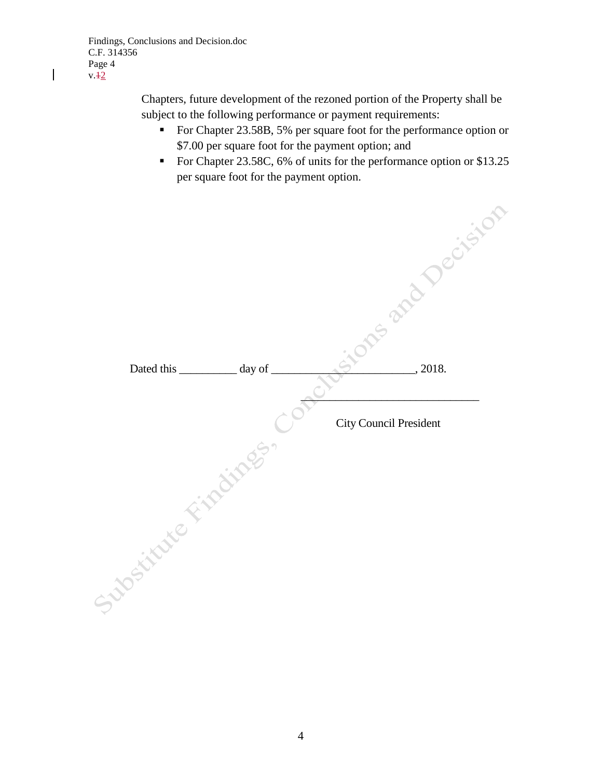$\mathbf{I}$ 

Chapters, future development of the rezoned portion of the Property shall be subject to the following performance or payment requirements:

- For Chapter 23.58B, 5% per square foot for the performance option or \$7.00 per square foot for the payment option; and
- For Chapter 23.58C, 6% of units for the performance option or \$13.25 per square foot for the payment option.

|                      |  |                               | <b>Pres and Decision</b> |  |  |
|----------------------|--|-------------------------------|--------------------------|--|--|
|                      |  |                               |                          |  |  |
| day of<br>Dated this |  |                               |                          |  |  |
|                      |  | <b>City Council President</b> |                          |  |  |
| Matthews Fish dings. |  |                               |                          |  |  |
|                      |  |                               |                          |  |  |
|                      |  |                               |                          |  |  |